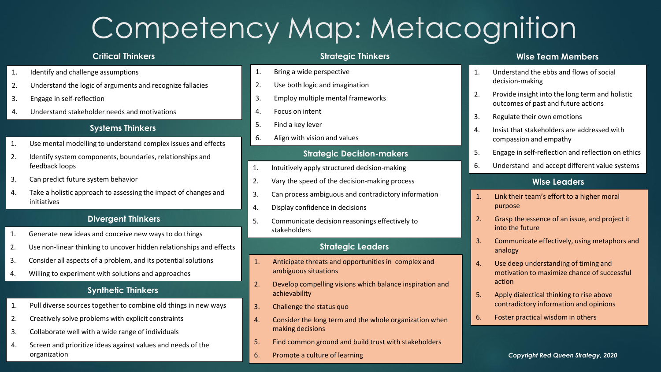# Competency Map: Metacognition

#### **Critical Thinkers**

- 1. Identify and challenge assumptions
- 2. Understand the logic of arguments and recognize fallacies
- 3. Engage in self-reflection
- 4. Understand stakeholder needs and motivations

#### **Systems Thinkers**

- 1. Use mental modelling to understand complex issues and effects
- 2. Identify system components, boundaries, relationships and feedback loops
- 3. Can predict future system behavior
- 4. Take a holistic approach to assessing the impact of changes and initiatives

#### **Divergent Thinkers**

- 1. Generate new ideas and conceive new ways to do things
- 2. Use non-linear thinking to uncover hidden relationships and effects
- 3. Consider all aspects of a problem, and its potential solutions
- 4. Willing to experiment with solutions and approaches

#### **Synthetic Thinkers**

- 1. Pull diverse sources together to combine old things in new ways
- 2. Creatively solve problems with explicit constraints
- 3. Collaborate well with a wide range of individuals
- 4. Screen and prioritize ideas against values and needs of the organization

#### **Strategic Thinkers**

- 1. Bring a wide perspective
- 2. Use both logic and imagination
- 3. Employ multiple mental frameworks
- 4. Focus on intent
- 5. Find a key lever
- 6. Align with vision and values

#### **Strategic Decision-makers**

- 1. Intuitively apply structured decision-making
- 2. Vary the speed of the decision-making process
- 3. Can process ambiguous and contradictory information
- 4. Display confidence in decisions
- 5. Communicate decision reasonings effectively to stakeholders

#### **Strategic Leaders**

- 1. Anticipate threats and opportunities in complex and ambiguous situations
- 2. Develop compelling visions which balance inspiration and achievability
- 3. Challenge the status quo
- 4. Consider the long term and the whole organization when making decisions
- 5. Find common ground and build trust with stakeholders
- 6. Promote a culture of learning

#### **Wise Team Members**

- 1. Understand the ebbs and flows of social decision-making
- 2. Provide insight into the long term and holistic outcomes of past and future actions
- 3. Regulate their own emotions
- 4. Insist that stakeholders are addressed with compassion and empathy
- 5. Engage in self-reflection and reflection on ethics
- 6. Understand and accept different value systems

#### **Wise Leaders**

- 1. Link their team's effort to a higher moral purpose
- 2. Grasp the essence of an issue, and project it into the future
- 3. Communicate effectively, using metaphors and analogy
- 4. Use deep understanding of timing and motivation to maximize chance of successful action
- 5. Apply dialectical thinking to rise above contradictory information and opinions
- 6. Foster practical wisdom in others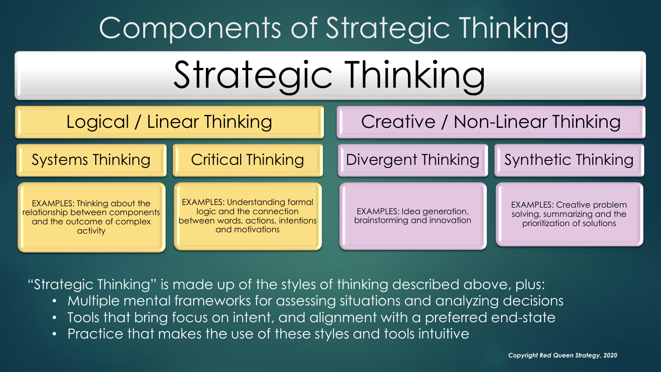# Components of Strategic Thinking





"Strategic Thinking" is made up of the styles of thinking described above, plus:

- Multiple mental frameworks for assessing situations and analyzing decisions
- Tools that bring focus on intent, and alignment with a preferred end-state
- Practice that makes the use of these styles and tools intuitive